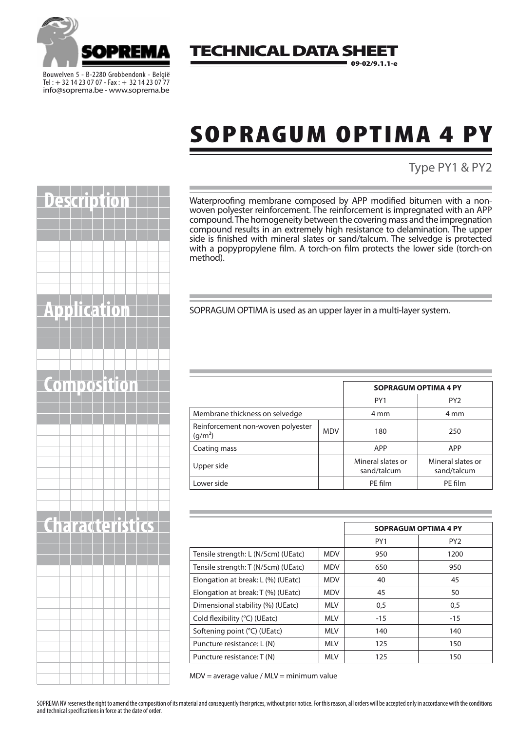

Bouwelven 5 - B-2280 Grobbendonk - België Tel : + 32 14 23 07 07 - Fax: + 32 14 23 07 77 info@soprema.be - www.soprema.be

#### **TECHNICAL DATA SH** 09-02/9.1.1-e

## SOPRAGUM OPTIMA 4 PY

### Type PY1 & PY2

Waterproofing membrane composed by APP modified bitumen with a nonwoven polyester reinforcement. The reinforcement is impregnated with an APP compound. The homogeneity between the covering mass and the impregnation compound results in an extremely high resistance to delamination. The upper side is finished with mineral slates or sand/talcum. The selvedge is protected with a popypropylene film. A torch-on film protects the lower side (torch-on method).

**APPLICE IN SOPRAGUM OPTIMA is used as an upper layer in a multi-layer system.** 

| <b>OMNOSITIOL</b> |                                                          |            | <b>SOPRAGUM OPTIMA 4 PY</b>      |                                  |
|-------------------|----------------------------------------------------------|------------|----------------------------------|----------------------------------|
|                   |                                                          |            | PY1                              | PY <sub>2</sub>                  |
|                   | Membrane thickness on selvedge                           |            | 4 mm                             | 4 mm                             |
|                   | Reinforcement non-woven polyester<br>(g/m <sup>2</sup> ) | <b>MDV</b> | 180                              | 250                              |
|                   | Coating mass                                             |            | APP                              | APP                              |
|                   | Upper side                                               |            | Mineral slates or<br>sand/talcum | Mineral slates or<br>sand/talcum |
|                   | Lower side                                               |            | PE film                          | PE film                          |

| <u>Lharacterístics</u> |                                     |            | <b>SOPRAGUM OPTIMA 4 PY</b> |                 |
|------------------------|-------------------------------------|------------|-----------------------------|-----------------|
|                        |                                     |            | PY1                         | PY <sub>2</sub> |
|                        | Tensile strength: L (N/5cm) (UEatc) | <b>MDV</b> | 950                         | 1200            |
|                        | Tensile strength: T (N/5cm) (UEatc) | <b>MDV</b> | 650                         | 950             |
|                        | Elongation at break: L (%) (UEatc)  | <b>MDV</b> | 40                          | 45              |
|                        | Elongation at break: T (%) (UEatc)  | <b>MDV</b> | 45                          | 50              |
|                        | Dimensional stability (%) (UEatc)   | <b>MLV</b> | 0,5                         | 0,5             |
|                        | Cold flexibility (°C) (UEatc)       | <b>MLV</b> | $-15$                       | $-15$           |
|                        | Softening point (°C) (UEatc)        | <b>MLV</b> | 140                         | 140             |
|                        | Puncture resistance: L (N)          | <b>MLV</b> | 125                         | 150             |
|                        | Puncture resistance: T (N)          | <b>MLV</b> | 125                         | 150             |

MDV = average value / MLV = minimum value

SOPREMA NV reserves the right to amend the composition of its material and consequently their prices, without prior notice. For this reason, all orders will be accepted only in accordance with the conditions



and technical specifications in force at the date of order.